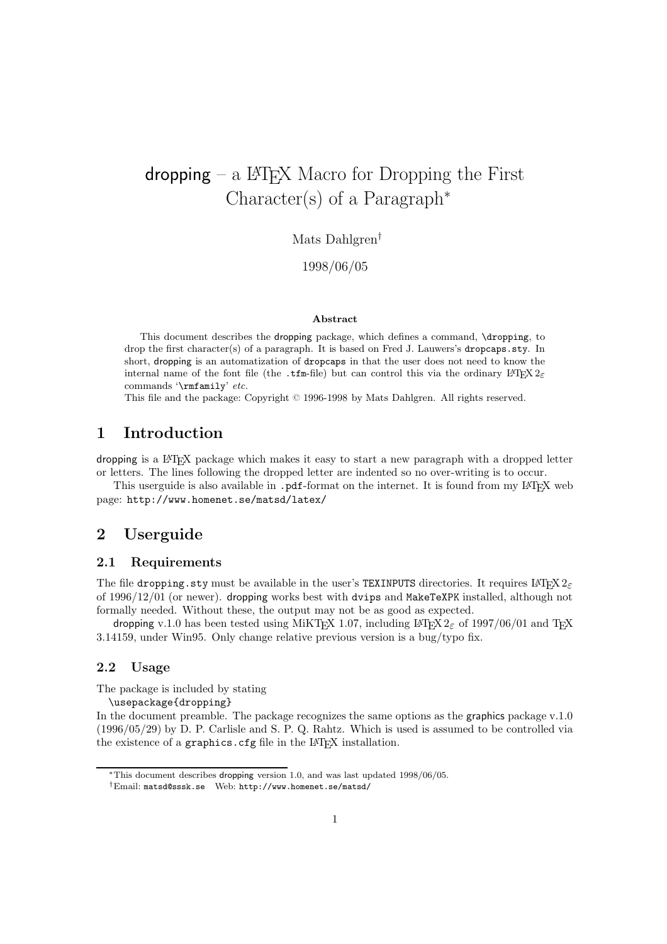# dropping – a  $\Delta M$ <sub>EX</sub> Macro for Dropping the First Character(s) of a Paragraph<sup>∗</sup>

Mats Dahlgren†

1998/06/05

#### **Abstract**

This document describes the dropping package, which defines a command, \dropping, to drop the first character(s) of a paragraph. It is based on Fred J. Lauwers's dropcaps.sty. In short, dropping is an automatization of dropcaps in that the user does not need to know the internal name of the font file (the .tfm-file) but can control this via the ordinary  $\text{LATEX } 2\varepsilon$ commands '\rmfamily' *etc.*

This file and the package: Copyright © 1996-1998 by Mats Dahlgren. All rights reserved.

### **1 Introduction**

dropping is a LATEX package which makes it easy to start a new paragraph with a dropped letter or letters. The lines following the dropped letter are indented so no over-writing is to occur.

This userguide is also available in .pdf-format on the internet. It is found from my L<sup>AT</sup>FX web page: http://www.homenet.se/matsd/latex/

### **2 Userguide**

#### **2.1 Requirements**

The file dropping.sty must be available in the user's TEXINPUTS directories. It requires  $\text{LATEX2}_{\epsilon}$ of 1996/12/01 (or newer). dropping works best with dvips and MakeTeXPK installed, although not formally needed. Without these, the output may not be as good as expected.

dropping v.1.0 has been tested using MiKTEX 1.07, including  $\mathbb{P}\text{Tr}X2_\epsilon$  of 1997/06/01 and TEX 3.14159, under Win95. Only change relative previous version is a bug/typo fix.

### **2.2 Usage**

The package is included by stating

\usepackage{dropping}

In the document preamble. The package recognizes the same options as the graphics package v.1.0 (1996/05/29) by D. P. Carlisle and S. P. Q. Rahtz. Which is used is assumed to be controlled via the existence of a graphics.cfg file in the LAT<sub>EX</sub> installation.

<sup>∗</sup>This document describes dropping version 1.0, and was last updated 1998/06/05.

<sup>†</sup>Email: matsd@sssk.se Web: http://www.homenet.se/matsd/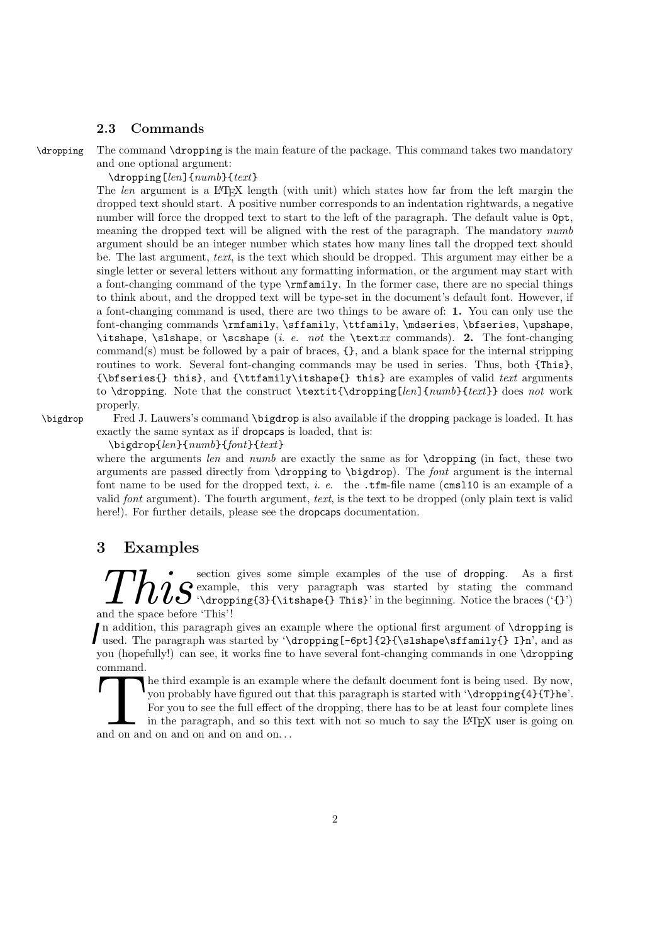#### **2.3 Commands**

\dropping The command \dropping is the main feature of the package. This command takes two mandatory and one optional argument:

\dropping[*len*]{*numb*}{*text*}

The *len* argument is a LATEX length (with unit) which states how far from the left margin the dropped text should start. A positive number corresponds to an indentation rightwards, a negative number will force the dropped text to start to the left of the paragraph. The default value is  $0pt$ , meaning the dropped text will be aligned with the rest of the paragraph. The mandatory *numb* argument should be an integer number which states how many lines tall the dropped text should be. The last argument, *text*, is the text which should be dropped. This argument may either be a single letter or several letters without any formatting information, or the argument may start with a font-changing command of the type \rmfamily. In the former case, there are no special things to think about, and the dropped text will be type-set in the document's default font. However, if a font-changing command is used, there are two things to be aware of: **1.** You can only use the font-changing commands \rmfamily, \sffamily, \ttfamily, \mdseries, \bfseries, \upshape, \itshape, \slshape, or \scshape (*i. e. not* the \text*xx* commands). **2.** The font-changing command(s) must be followed by a pair of braces,  $\{\}$ , and a blank space for the internal stripping routines to work. Several font-changing commands may be used in series. Thus, both  $\{\text{This}\}$ , {\bfseries{} this}, and {\ttfamily\itshape{} this} are examples of valid *text* arguments to \dropping. Note that the construct \textit{\dropping[*len*]{*numb*}{*text*}} does *not* work properly.

\bigdrop Fred J. Lauwers's command \bigdrop is also available if the dropping package is loaded. It has exactly the same syntax as if dropcaps is loaded, that is:

\bigdrop{*len*}{*numb*}{*font*}{*text*}

where the arguments *len* and *numb* are exactly the same as for \dropping (in fact, these two arguments are passed directly from \dropping to \bigdrop). The *font* argument is the internal font name to be used for the dropped text, *i. e.* the .tfm-file name (cmsl10 is an example of a valid *font* argument). The fourth argument, *text*, is the text to be dropped (only plain text is valid here!). For further details, please see the **dropcaps** documentation.

### **3 Examples**

**This** is ection gives some simple examples of the use of dropping. As a first  $\mathcal{S}^{\text{example}}$ , this very paragraph was started by stating the command the space before 'This'! example, this very paragraph was started by stating the command and the space before 'This'!

In addition, this paragraph gives an example where the optional first argument of **\dropping** is<br>
In addition, this paragraph was started by '**\dropping[-6pt]{2}{\slshape\sffamily{}** I}n', and as In addition, this paragraph gives an example where the optional first argument of  $\d$ ropping is you (hopefully!) can see, it works fine to have several font-changing commands in one \dropping command.

The third example is an examply<br>ou probably have figured out<br>For you to see the full effect of<br>in the paragraph, and so this<br>and on and on and on and on and on... he third example is an example where the default document font is being used. By now, you probably have figured out that this paragraph is started with '\dropping{4}{T}he'. For you to see the full effect of the dropping, there has to be at least four complete lines in the paragraph, and so this text with not so much to say the LATEX user is going on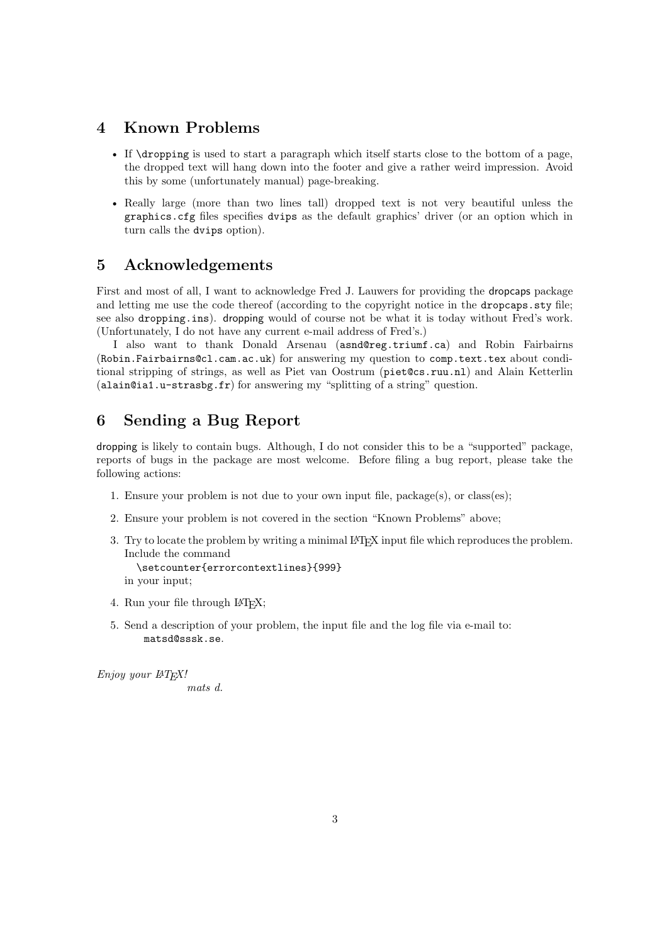### **4 Known Problems**

- If \dropping is used to start a paragraph which itself starts close to the bottom of a page, the dropped text will hang down into the footer and give a rather weird impression. Avoid this by some (unfortunately manual) page-breaking.
- Really large (more than two lines tall) dropped text is not very beautiful unless the graphics.cfg files specifies dvips as the default graphics' driver (or an option which in turn calls the dvips option).

## **5 Acknowledgements**

First and most of all, I want to acknowledge Fred J. Lauwers for providing the dropcaps package and letting me use the code thereof (according to the copyright notice in the dropcaps.sty file; see also dropping.ins). dropping would of course not be what it is today without Fred's work. (Unfortunately, I do not have any current e-mail address of Fred's.)

I also want to thank Donald Arsenau (asnd@reg.triumf.ca) and Robin Fairbairns (Robin.Fairbairns@cl.cam.ac.uk) for answering my question to comp.text.tex about conditional stripping of strings, as well as Piet van Oostrum (piet@cs.ruu.nl) and Alain Ketterlin (alain@ia1.u-strasbg.fr) for answering my "splitting of a string" question.

## **6 Sending a Bug Report**

dropping is likely to contain bugs. Although, I do not consider this to be a "supported" package, reports of bugs in the package are most welcome. Before filing a bug report, please take the following actions:

- 1. Ensure your problem is not due to your own input file, package(s), or class(es);
- 2. Ensure your problem is not covered in the section "Known Problems" above;
- 3. Try to locate the problem by writing a minimal LATEX input file which reproduces the problem. Include the command

\setcounter{errorcontextlines}{999} in your input;

- 4. Run your file through LATEX;
- 5. Send a description of your problem, the input file and the log file via e-mail to: matsd@sssk.se.

*Enjoy your L<sup>A</sup>TEX!*

*mats d.*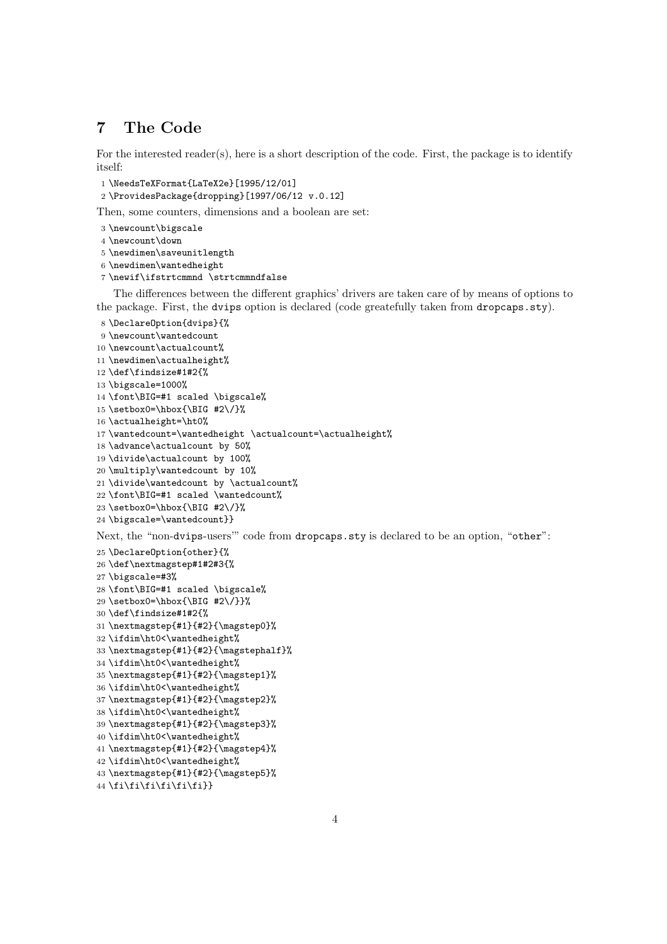## **The Code**

For the interested reader(s), here is a short description of the code. First, the package is to identify itself:

\NeedsTeXFormat{LaTeX2e}[1995/12/01]

\ProvidesPackage{dropping}[1997/06/12 v.0.12]

Then, some counters, dimensions and a boolean are set:

- \newcount\bigscale
- \newcount\down
- \newdimen\saveunitlength
- \newdimen\wantedheight
- \newif\ifstrtcmmnd \strtcmmndfalse

The differences between the different graphics' drivers are taken care of by means of options to the package. First, the dvips option is declared (code greatefully taken from dropcaps.sty).

```
8 \DeclareOption{dvips}{%
9 \newcount\wantedcount
10 \newcount\actualcount%
11 \newdimen\actualheight%
12 \def\findsize#1#2{%
13 \bigscale=1000%
14 \font\BIG=#1 scaled \bigscale%
15 \setminus \setminus 0 = \hbox{SIG #2}\16 \actualheight=\ht0%
17 \wantedcount=\wantedheight \actualcount=\actualheight%
18 \advance\actualcount by 50%
19 \divide\actualcount by 100%
20 \multiply\wantedcount by 10%
21 \divide\wantedcount by \actualcount%
22 \font\BIG=#1 scaled \wantedcount%
23 \setbox0=\hbox{\BIG #2\/}%
24 \bigscale=\wantedcount}}
Next, the "non-dvips-users'" code from dropcaps.sty is declared to be an option, "other":
25 \DeclareOption{other}{%
26 \def\nextmagstep#1#2#3{%
27 \bigscale=#3%
28 \font\BIG=#1 scaled \bigscale%
29 \setbox0=\hbox{\BIG #2\/}}%
30 \def\findsize#1#2{%
31 \nextmagstep{#1}{#2}{\magstep0}%
32 \ifdim\ht0<\wantedheight%
33 \nextmagstep{#1}{#2}{\magstephalf}%
34 \ifdim\ht0<\wantedheight%
35 \nextmagstep{#1}{#2}{\magstep1}%
36 \ifdim\ht0<\wantedheight%
37 \nextmagstep{#1}{#2}{\magstep2}%
38 \ifdim\ht0<\wantedheight%
39 \nextmagstep{#1}{#2}{\magstep3}%
40 \ifdim\ht0<\wantedheight%
41 \nextmagstep{#1}{#2}{\magstep4}%
```

```
42 \ifdim\ht0<\wantedheight%
```

```
43 \nextmagstep{#1}{#2}{\magstep5}%
```
\fi\fi\fi\fi\fi\fi}}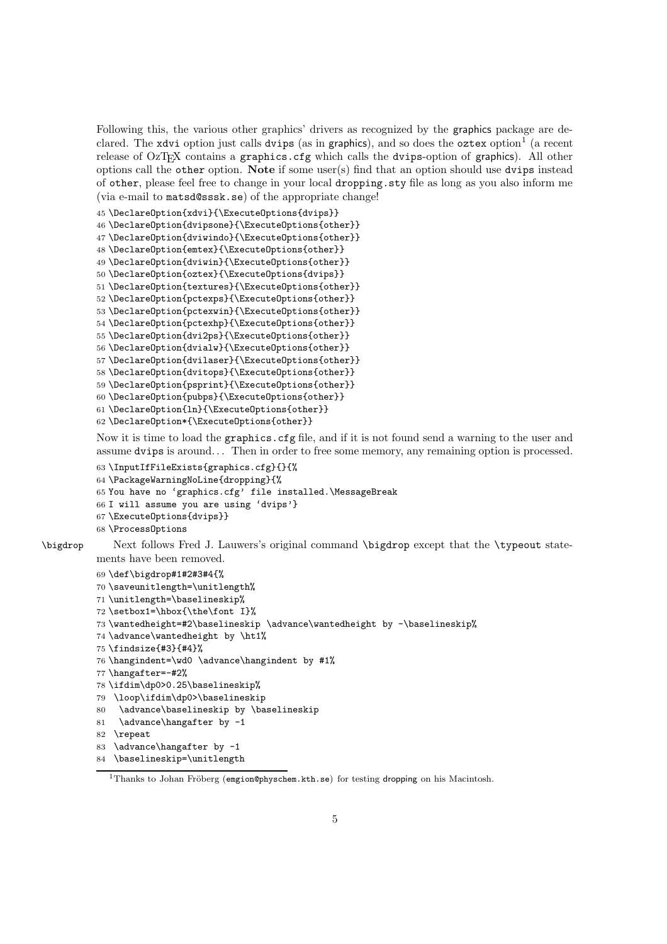Following this, the various other graphics' drivers as recognized by the graphics package are declared. The xdvi option just calls dvips (as in graphics), and so does the oztex option<sup>1</sup> (a recent release of OzT<sub>F</sub>X contains a graphics.cfg which calls the dvips-option of graphics). All other options call the other option. **Note** if some user(s) find that an option should use dvips instead of other, please feel free to change in your local dropping.sty file as long as you also inform me (via e-mail to matsd@sssk.se) of the appropriate change!

```
45 \DeclareOption{xdvi}{\ExecuteOptions{dvips}}
46 \DeclareOption{dvipsone}{\ExecuteOptions{other}}
47 \DeclareOption{dviwindo}{\ExecuteOptions{other}}
48 \DeclareOption{emtex}{\ExecuteOptions{other}}
49 \DeclareOption{dviwin}{\ExecuteOptions{other}}
50 \DeclareOption{oztex}{\ExecuteOptions{dvips}}
51 \DeclareOption{textures}{\ExecuteOptions{other}}
52 \DeclareOption{pctexps}{\ExecuteOptions{other}}
53 \DeclareOption{pctexwin}{\ExecuteOptions{other}}
54 \DeclareOption{pctexhp}{\ExecuteOptions{other}}
55 \DeclareOption{dvi2ps}{\ExecuteOptions{other}}
56 \DeclareOption{dvialw}{\ExecuteOptions{other}}
57 \DeclareOption{dvilaser}{\ExecuteOptions{other}}
58 \DeclareOption{dvitops}{\ExecuteOptions{other}}
59 \DeclareOption{psprint}{\ExecuteOptions{other}}
60 \DeclareOption{pubps}{\ExecuteOptions{other}}
61 \DeclareOption{ln}{\ExecuteOptions{other}}
62 \DeclareOption*{\ExecuteOptions{other}}
```
Now it is time to load the graphics.cfg file, and if it is not found send a warning to the user and assume dvips is around. . . Then in order to free some memory, any remaining option is processed.

```
63 \InputIfFileExists{graphics.cfg}{}{%
```

```
64 \PackageWarningNoLine{dropping}{%
```
You have no 'graphics.cfg' file installed.\MessageBreak

```
66 I will assume you are using 'dvips'}
```

```
67 \ExecuteOptions{dvips}}
```

```
68 \ProcessOptions
```
\bigdrop Next follows Fred J. Lauwers's original command \bigdrop except that the \typeout statements have been removed.

```
69 \def\bigdrop#1#2#3#4{%
```

```
70 \saveunitlength=\unitlength%
```

```
71 \unitlength=\baselineskip%
```

```
72 \setbox1=\hbox{\the\font I}%
```

```
73 \wantedheight=#2\baselineskip \advance\wantedheight by -\baselineskip%
```

```
74 \advance\wantedheight by \ht1%
```

```
75 \findsize{#3}{#4}%
```

```
76 \hangindent=\wd0 \advance\hangindent by #1%
```

```
77 \hangafter=-#2%
```

```
78 \ifdim\dp0>0.25\baselineskip%
```

```
79 \loop\ifdim\dp0>\baselineskip
```

```
80 \advance\baselineskip by \baselineskip
```

```
81 \advance\hangafter by -1
```

```
82 \repeat
```

```
83 \advance\hangafter by -1
```

```
84 \baselineskip=\unitlength
```
<sup>&</sup>lt;sup>1</sup>Thanks to Johan Fröberg (emgion@physchem.kth.se) for testing dropping on his Macintosh.